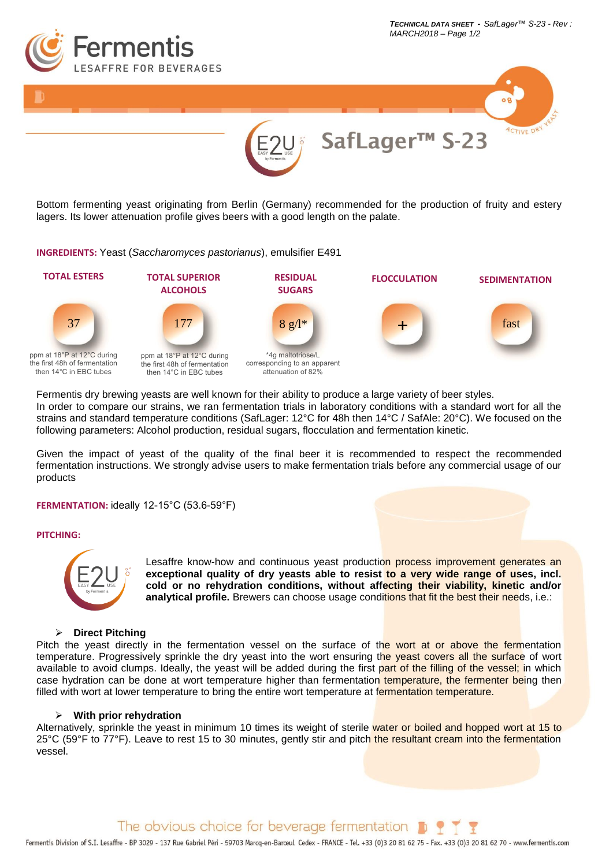



Bottom fermenting yeast originating from Berlin (Germany) recommended for the production of fruity and estery lagers. Its lower attenuation profile gives beers with a good length on the palate.

### **INGREDIENTS:** Yeast (*Saccharomyces pastorianus*), emulsifier E491



Fermentis dry brewing yeasts are well known for their ability to produce a large variety of beer styles. In order to compare our strains, we ran fermentation trials in laboratory conditions with a standard wort for all the strains and standard temperature conditions (SafLager: 12°C for 48h then 14°C / SafAle: 20°C). We focused on the following parameters: Alcohol production, residual sugars, flocculation and fermentation kinetic.

Given the impact of yeast of the quality of the final beer it is recommended to respect the recommended fermentation instructions. We strongly advise users to make fermentation trials before any commercial usage of our products

## **FERMENTATION:** ideally 12-15°C (53.6-59°F)

### **PITCHING:**



Lesaffre know-how and continuous yeast production process improvement generates an **exceptional quality of dry yeasts able to resist to a very wide range of uses, incl. cold or no rehydration conditions, without affecting their viability, kinetic and/or analytical profile.** Brewers can choose usage conditions that fit the best their needs, i.e.:

## ➢ **Direct Pitching**

Pitch the yeast directly in the fermentation vessel on the surface of the wort at or above the fermentation temperature. Progressively sprinkle the dry yeast into the wort ensuring the yeast covers all the surface of wort available to avoid clumps. Ideally, the yeast will be added during the first part of the filling of the vessel; in which case hydration can be done at wort temperature higher than fermentation temperature, the fermenter being then filled with wort at lower temperature to bring the entire wort temperature at fermentation temperature.

## ➢ **With prior rehydration**

Alternatively, sprinkle the yeast in minimum 10 times its weight of sterile water or boiled and hopped wort at 15 to 25°C (59°F to 77°F). Leave to rest 15 to 30 minutes, gently stir and pitch the resultant cream into the fermentation vessel.